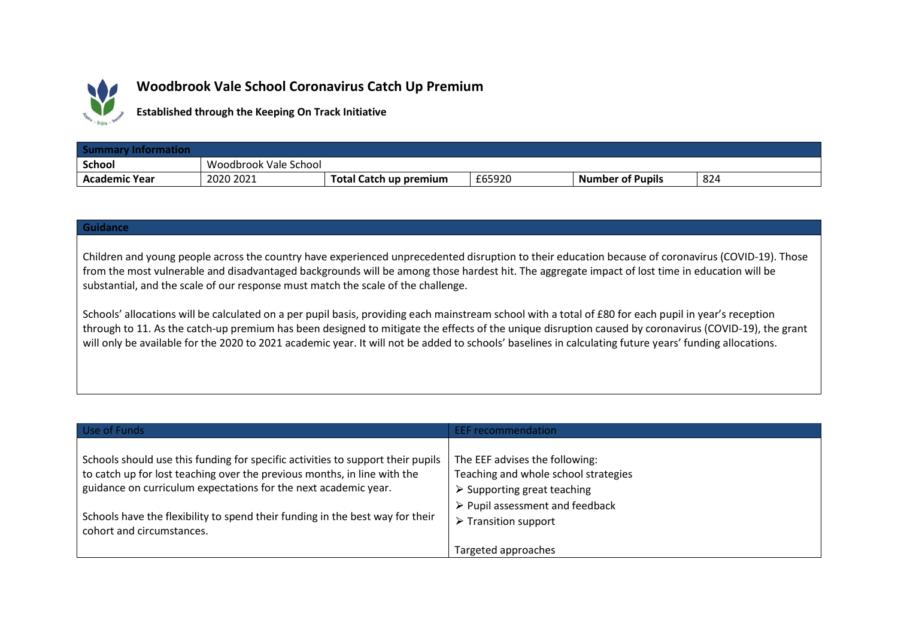

## **Woodbrook Vale School Coronavirus Catch Up Premium**

**Established through the Keeping On Track Initiative**

| <b>Summary Information</b> |                       |                        |        |                         |     |
|----------------------------|-----------------------|------------------------|--------|-------------------------|-----|
| <b>School</b>              | Woodbrook Vale School |                        |        |                         |     |
| Academic Year              | 2020 2021             | Total Catch up premium | £65920 | <b>Number of Pupils</b> | 824 |

## **Guidance**

Children and young people across the country have experienced unprecedented disruption to their education because of coronavirus (COVID-19). Those from the most vulnerable and disadvantaged backgrounds will be among those hardest hit. The aggregate impact of lost time in education will be substantial, and the scale of our response must match the scale of the challenge.

Schools' allocations will be calculated on a per pupil basis, providing each mainstream school with a total of £80 for each pupil in year's reception through to 11. As the catch-up premium has been designed to mitigate the effects of the unique disruption caused by coronavirus (COVID-19), the grant will only be available for the 2020 to 2021 academic year. It will not be added to schools' baselines in calculating future years' funding allocations.

| Use of Funds                                                                                                                                                                                                                   | EEF recommendation                                                                                                   |
|--------------------------------------------------------------------------------------------------------------------------------------------------------------------------------------------------------------------------------|----------------------------------------------------------------------------------------------------------------------|
| Schools should use this funding for specific activities to support their pupils<br>to catch up for lost teaching over the previous months, in line with the<br>guidance on curriculum expectations for the next academic year. | The EEF advises the following:<br>Teaching and whole school strategies<br>$\triangleright$ Supporting great teaching |
| Schools have the flexibility to spend their funding in the best way for their<br>cohort and circumstances.                                                                                                                     | $\triangleright$ Pupil assessment and feedback<br>$\triangleright$ Transition support<br>Targeted approaches         |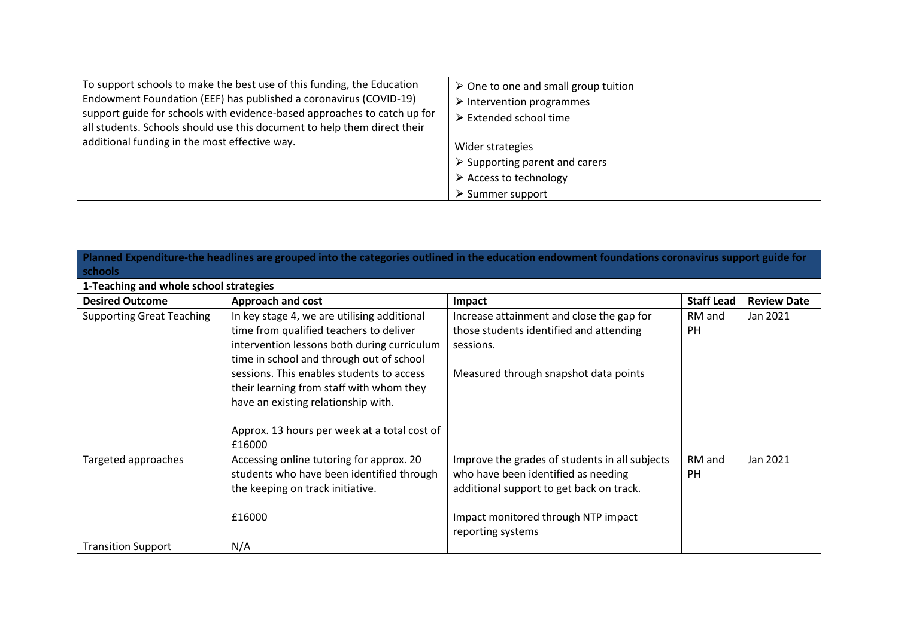| To support schools to make the best use of this funding, the Education   | $\triangleright$ One to one and small group tuition |
|--------------------------------------------------------------------------|-----------------------------------------------------|
| Endowment Foundation (EEF) has published a coronavirus (COVID-19)        | $\triangleright$ Intervention programmes            |
| support guide for schools with evidence-based approaches to catch up for | $\triangleright$ Extended school time               |
| all students. Schools should use this document to help them direct their |                                                     |
| additional funding in the most effective way.                            | Wider strategies                                    |
|                                                                          | $\triangleright$ Supporting parent and carers       |
|                                                                          | $\triangleright$ Access to technology               |
|                                                                          | $\triangleright$ Summer support                     |

| Planned Expenditure-the headlines are grouped into the categories outlined in the education endowment foundations coronavirus support guide for |                                                                                                                                      |                                                                                                                                   |                     |                    |  |
|-------------------------------------------------------------------------------------------------------------------------------------------------|--------------------------------------------------------------------------------------------------------------------------------------|-----------------------------------------------------------------------------------------------------------------------------------|---------------------|--------------------|--|
| <b>schools</b>                                                                                                                                  |                                                                                                                                      |                                                                                                                                   |                     |                    |  |
| 1-Teaching and whole school strategies                                                                                                          |                                                                                                                                      |                                                                                                                                   |                     |                    |  |
| <b>Desired Outcome</b>                                                                                                                          | <b>Approach and cost</b>                                                                                                             | Impact                                                                                                                            | <b>Staff Lead</b>   | <b>Review Date</b> |  |
| <b>Supporting Great Teaching</b>                                                                                                                | In key stage 4, we are utilising additional<br>time from qualified teachers to deliver                                               | Increase attainment and close the gap for<br>those students identified and attending                                              | RM and<br><b>PH</b> | Jan 2021           |  |
|                                                                                                                                                 | intervention lessons both during curriculum<br>time in school and through out of school<br>sessions. This enables students to access | sessions.                                                                                                                         |                     |                    |  |
|                                                                                                                                                 | their learning from staff with whom they<br>have an existing relationship with.                                                      | Measured through snapshot data points                                                                                             |                     |                    |  |
|                                                                                                                                                 | Approx. 13 hours per week at a total cost of<br>£16000                                                                               |                                                                                                                                   |                     |                    |  |
| Targeted approaches                                                                                                                             | Accessing online tutoring for approx. 20<br>students who have been identified through<br>the keeping on track initiative.            | Improve the grades of students in all subjects<br>who have been identified as needing<br>additional support to get back on track. | RM and<br><b>PH</b> | Jan 2021           |  |
|                                                                                                                                                 | £16000                                                                                                                               | Impact monitored through NTP impact<br>reporting systems                                                                          |                     |                    |  |
| <b>Transition Support</b>                                                                                                                       | N/A                                                                                                                                  |                                                                                                                                   |                     |                    |  |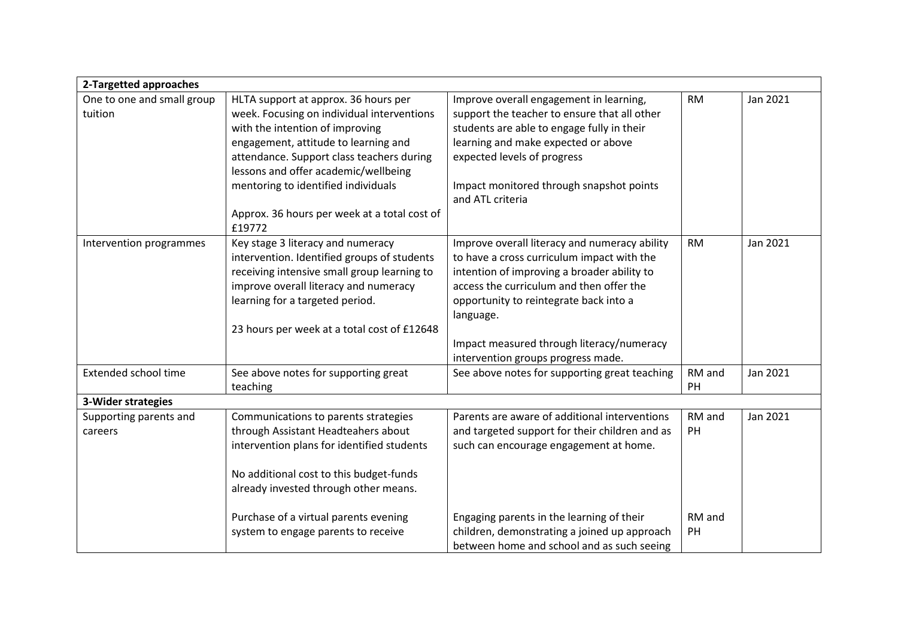| 2-Targetted approaches                |                                                                                                                                                                                                                                                                                                                                                     |                                                                                                                                                                                                                                                                                                                                  |              |          |  |  |
|---------------------------------------|-----------------------------------------------------------------------------------------------------------------------------------------------------------------------------------------------------------------------------------------------------------------------------------------------------------------------------------------------------|----------------------------------------------------------------------------------------------------------------------------------------------------------------------------------------------------------------------------------------------------------------------------------------------------------------------------------|--------------|----------|--|--|
| One to one and small group<br>tuition | HLTA support at approx. 36 hours per<br>week. Focusing on individual interventions<br>with the intention of improving<br>engagement, attitude to learning and<br>attendance. Support class teachers during<br>lessons and offer academic/wellbeing<br>mentoring to identified individuals<br>Approx. 36 hours per week at a total cost of<br>£19772 | Improve overall engagement in learning,<br>support the teacher to ensure that all other<br>students are able to engage fully in their<br>learning and make expected or above<br>expected levels of progress<br>Impact monitored through snapshot points<br>and ATL criteria                                                      | <b>RM</b>    | Jan 2021 |  |  |
| Intervention programmes               | Key stage 3 literacy and numeracy<br>intervention. Identified groups of students<br>receiving intensive small group learning to<br>improve overall literacy and numeracy<br>learning for a targeted period.<br>23 hours per week at a total cost of £12648                                                                                          | Improve overall literacy and numeracy ability<br>to have a cross curriculum impact with the<br>intention of improving a broader ability to<br>access the curriculum and then offer the<br>opportunity to reintegrate back into a<br>language.<br>Impact measured through literacy/numeracy<br>intervention groups progress made. | <b>RM</b>    | Jan 2021 |  |  |
| Extended school time                  | See above notes for supporting great<br>teaching                                                                                                                                                                                                                                                                                                    | See above notes for supporting great teaching                                                                                                                                                                                                                                                                                    | RM and<br>PH | Jan 2021 |  |  |
| 3-Wider strategies                    |                                                                                                                                                                                                                                                                                                                                                     |                                                                                                                                                                                                                                                                                                                                  |              |          |  |  |
| Supporting parents and<br>careers     | Communications to parents strategies<br>through Assistant Headteahers about<br>intervention plans for identified students<br>No additional cost to this budget-funds<br>already invested through other means.                                                                                                                                       | Parents are aware of additional interventions<br>and targeted support for their children and as<br>such can encourage engagement at home.                                                                                                                                                                                        | RM and<br>PH | Jan 2021 |  |  |
|                                       | Purchase of a virtual parents evening<br>system to engage parents to receive                                                                                                                                                                                                                                                                        | Engaging parents in the learning of their<br>children, demonstrating a joined up approach<br>between home and school and as such seeing                                                                                                                                                                                          | RM and<br>PH |          |  |  |